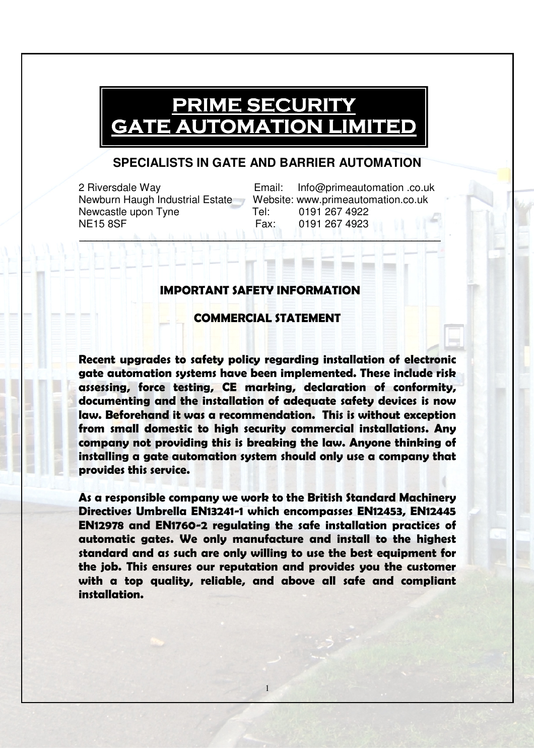## **PRIME SECURITY** GATE AUTOMATION LIMITED

## **SPECIALISTS IN GATE AND BARRIER AUTOMATION**

Newcastle upon Tyne Tel: 0191 267 4922 NE15 8SF Fax: 0191 267 4923

2 Riversdale Way Email: Info@primeautomation .co.uk Newburn Haugh Industrial Estate Website: www.primeautomation.co.uk \_\_\_\_\_\_\_\_\_\_\_\_\_\_\_\_\_\_\_\_\_\_\_\_\_\_\_\_\_\_\_\_\_\_\_\_\_\_\_\_\_\_\_\_\_\_\_\_\_\_\_\_\_\_\_\_\_\_\_\_\_\_

## IMPORTANT SAFETY INFORMATION

## COMMERCIAL STATEMENT

Recent upgrades to safety policy regarding installation of electronic gate automation systems have been implemented. These include risk assessing, force testing, CE marking, declaration of conformity, documenting and the installation of adequate safety devices is now law. Beforehand it was a recommendation. This is without exception from small domestic to high security commercial installations. Any company not providing this is breaking the law. Anyone thinking of installing a gate automation system should only use a company that provides this service.

As a responsible company we work to the British Standard Machinery Directives Umbrella EN13241-1 which encompasses EN12453, EN12445 EN12978 and EN1760-2 regulating the safe installation practices of automatic gates. We only manufacture and install to the highest standard and as such are only willing to use the best equipment for the job. This ensures our reputation and provides you the customer with a top quality, reliable, and above all safe and compliant installation.

1